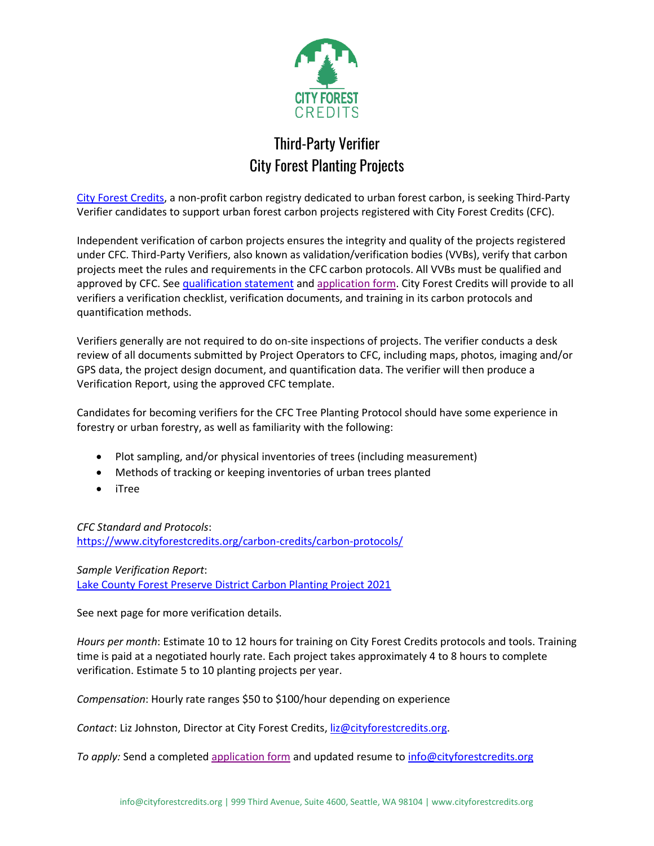

## Third-Party Verifier City Forest Planting Projects

[City Forest Credits,](https://www.cityforestcredits.org/) a non-profit carbon registry dedicated to urban forest carbon, is seeking Third-Party Verifier candidates to support urban forest carbon projects registered with City Forest Credits (CFC).

Independent verification of carbon projects ensures the integrity and quality of the projects registered under CFC. Third-Party Verifiers, also known as validation/verification bodies (VVBs), verify that carbon projects meet the rules and requirements in the CFC carbon protocols. All VVBs must be qualified and approved by CFC. See [qualification statement](https://www.cityforestcredits.org/wp-content/uploads/2021/10/City-Forest-Credits-VVB-Qualifications-Statement.pdf) and [application form.](https://www.cityforestcredits.org/wp-content/uploads/2022/06/City-Forest-Credits-VVB-Application-Form-2022.pdf) City Forest Credits will provide to all verifiers a verification checklist, verification documents, and training in its carbon protocols and quantification methods.

Verifiers generally are not required to do on-site inspections of projects. The verifier conducts a desk review of all documents submitted by Project Operators to CFC, including maps, photos, imaging and/or GPS data, the project design document, and quantification data. The verifier will then produce a Verification Report, using the approved CFC template.

Candidates for becoming verifiers for the CFC Tree Planting Protocol should have some experience in forestry or urban forestry, as well as familiarity with the following:

- Plot sampling, and/or physical inventories of trees (including measurement)
- Methods of tracking or keeping inventories of urban trees planted
- iTree

*CFC Standard and Protocols*: <https://www.cityforestcredits.org/carbon-credits/carbon-protocols/>

*Sample Verification Report*: [Lake County Forest Preserve District Carbon Planting Project 2021](https://www.cityforestcredits.org/wp-content/uploads/2021/11/LCFPD-Verification-Report-Final.pdf)

See next page for more verification details.

*Hours per month*: Estimate 10 to 12 hours for training on City Forest Credits protocols and tools. Training time is paid at a negotiated hourly rate. Each project takes approximately 4 to 8 hours to complete verification. Estimate 5 to 10 planting projects per year.

*Compensation*: Hourly rate ranges \$50 to \$100/hour depending on experience

*Contact*: Liz Johnston, Director at City Forest Credits, [liz@cityforestcredits.org.](mailto:liz@cityforestcredits.org)

*To apply:* Send a completed [application form](https://www.cityforestcredits.org/wp-content/uploads/2022/06/City-Forest-Credits-VVB-Application-Form-2022.pdf) and updated resume to [info@cityforestcredits.org](mailto:info@cityforestcredits.org)